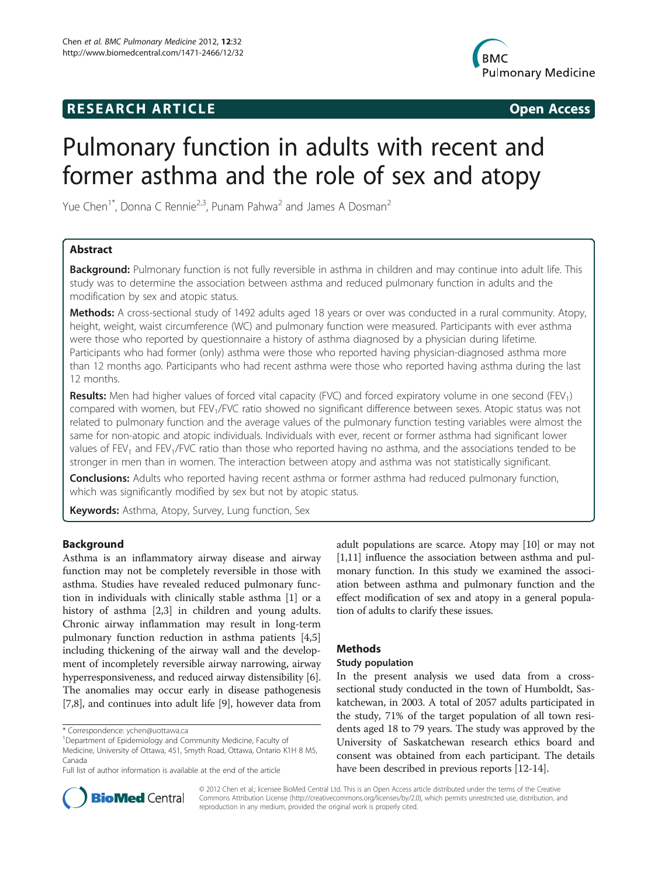# **RESEARCH ARTICLE Example 2014 CONSIDERING CONSIDERING CONSIDERING CONSIDERING CONSIDERING CONSIDERING CONSIDERING CONSIDERING CONSIDERING CONSIDERING CONSIDERING CONSIDERING CONSIDERING CONSIDERING CONSIDERING CONSIDE**



# Pulmonary function in adults with recent and former asthma and the role of sex and atopy

Yue Chen<sup>1\*</sup>, Donna C Rennie<sup>2,3</sup>, Punam Pahwa<sup>2</sup> and James A Dosman<sup>2</sup>

# Abstract

Background: Pulmonary function is not fully reversible in asthma in children and may continue into adult life. This study was to determine the association between asthma and reduced pulmonary function in adults and the modification by sex and atopic status.

Methods: A cross-sectional study of 1492 adults aged 18 years or over was conducted in a rural community. Atopy, height, weight, waist circumference (WC) and pulmonary function were measured. Participants with ever asthma were those who reported by questionnaire a history of asthma diagnosed by a physician during lifetime. Participants who had former (only) asthma were those who reported having physician-diagnosed asthma more than 12 months ago. Participants who had recent asthma were those who reported having asthma during the last 12 months.

**Results:** Men had higher values of forced vital capacity (FVC) and forced expiratory volume in one second (FEV<sub>1</sub>) compared with women, but FEV<sub>1</sub>/FVC ratio showed no significant difference between sexes. Atopic status was not related to pulmonary function and the average values of the pulmonary function testing variables were almost the same for non-atopic and atopic individuals. Individuals with ever, recent or former asthma had significant lower values of FEV<sub>1</sub> and FEV<sub>1</sub>/FVC ratio than those who reported having no asthma, and the associations tended to be stronger in men than in women. The interaction between atopy and asthma was not statistically significant.

**Conclusions:** Adults who reported having recent asthma or former asthma had reduced pulmonary function, which was significantly modified by sex but not by atopic status.

Keywords: Asthma, Atopy, Survey, Lung function, Sex

# Background

Asthma is an inflammatory airway disease and airway function may not be completely reversible in those with asthma. Studies have revealed reduced pulmonary function in individuals with clinically stable asthma [[1](#page-4-0)] or a history of asthma [[2,3\]](#page-4-0) in children and young adults. Chronic airway inflammation may result in long-term pulmonary function reduction in asthma patients [\[4,5](#page-4-0)] including thickening of the airway wall and the development of incompletely reversible airway narrowing, airway hyperresponsiveness, and reduced airway distensibility [[6](#page-4-0)]. The anomalies may occur early in disease pathogenesis [[7,8](#page-5-0)], and continues into adult life [[9\]](#page-5-0), however data from

adult populations are scarce. Atopy may [\[10\]](#page-5-0) or may not [[1,](#page-4-0)[11](#page-5-0)] influence the association between asthma and pulmonary function. In this study we examined the association between asthma and pulmonary function and the effect modification of sex and atopy in a general population of adults to clarify these issues.

# Methods

# Study population

In the present analysis we used data from a crosssectional study conducted in the town of Humboldt, Saskatchewan, in 2003. A total of 2057 adults participated in the study, 71% of the target population of all town residents aged 18 to 79 years. The study was approved by the University of Saskatchewan research ethics board and consent was obtained from each participant. The details have been described in previous reports [\[12-14\]](#page-5-0).



© 2012 Chen et al.; licensee BioMed Central Ltd. This is an Open Access article distributed under the terms of the Creative Commons Attribution License [\(http://creativecommons.org/licenses/by/2.0\)](http://creativecommons.org/licenses/by/2.0), which permits unrestricted use, distribution, and reproduction in any medium, provided the original work is properly cited.

<sup>\*</sup> Correspondence: [ychen@uottawa.ca](mailto:ychen@uottawa.ca) <sup>1</sup>

Department of Epidemiology and Community Medicine, Faculty of Medicine, University of Ottawa, 451, Smyth Road, Ottawa, Ontario K1H 8 M5, Canada

Full list of author information is available at the end of the article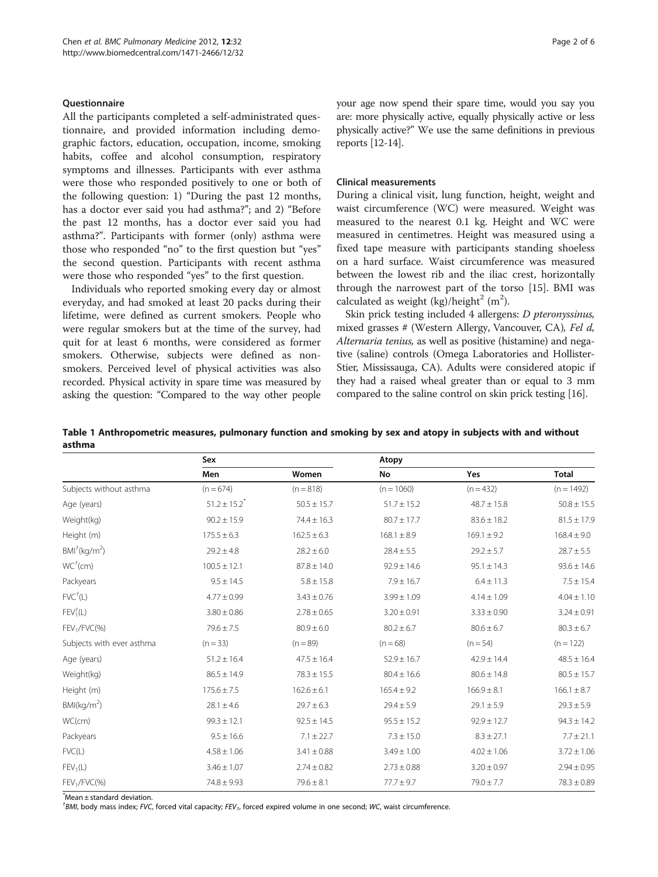## <span id="page-1-0"></span>Questionnaire

All the participants completed a self-administrated questionnaire, and provided information including demographic factors, education, occupation, income, smoking habits, coffee and alcohol consumption, respiratory symptoms and illnesses. Participants with ever asthma were those who responded positively to one or both of the following question: 1) "During the past 12 months, has a doctor ever said you had asthma?"; and 2) "Before the past 12 months, has a doctor ever said you had asthma?". Participants with former (only) asthma were those who responded "no" to the first question but "yes" the second question. Participants with recent asthma were those who responded "yes" to the first question.

Individuals who reported smoking every day or almost everyday, and had smoked at least 20 packs during their lifetime, were defined as current smokers. People who were regular smokers but at the time of the survey, had quit for at least 6 months, were considered as former smokers. Otherwise, subjects were defined as nonsmokers. Perceived level of physical activities was also recorded. Physical activity in spare time was measured by asking the question: "Compared to the way other people your age now spend their spare time, would you say you are: more physically active, equally physically active or less physically active?" We use the same definitions in previous reports [\[12-14](#page-5-0)].

#### Clinical measurements

During a clinical visit, lung function, height, weight and waist circumference (WC) were measured. Weight was measured to the nearest 0.1 kg. Height and WC were measured in centimetres. Height was measured using a fixed tape measure with participants standing shoeless on a hard surface. Waist circumference was measured between the lowest rib and the iliac crest, horizontally through the narrowest part of the torso [[15](#page-5-0)]. BMI was calculated as weight (kg)/height<sup>2</sup> (m<sup>2</sup>).

Skin prick testing included 4 allergens: D pteronyssinus, mixed grasses # (Western Allergy, Vancouver, CA), Fel d, Alternaria tenius, as well as positive (histamine) and negative (saline) controls (Omega Laboratories and Hollister-Stier, Mississauga, CA). Adults were considered atopic if they had a raised wheal greater than or equal to 3 mm compared to the saline control on skin prick testing [\[16\]](#page-5-0).

Table 1 Anthropometric measures, pulmonary function and smoking by sex and atopy in subjects with and without asthma

|                                      | Sex                          |                 | Atopy           |                 |                 |
|--------------------------------------|------------------------------|-----------------|-----------------|-----------------|-----------------|
|                                      | Men                          | Women           | <b>No</b>       | Yes             | <b>Total</b>    |
| Subjects without asthma              | $(n = 674)$                  | $(n = 818)$     | $(n = 1060)$    | $(n = 432)$     | $(n = 1492)$    |
| Age (years)                          | $51.2 \pm 15.2$ <sup>*</sup> | $50.5 \pm 15.7$ | $51.7 \pm 15.2$ | $48.7 \pm 15.8$ | $50.8 \pm 15.5$ |
| Weight(kg)                           | $90.2 \pm 15.9$              | $74.4 \pm 16.3$ | $80.7 \pm 17.7$ | $83.6 \pm 18.2$ | $81.5 \pm 17.9$ |
| Height (m)                           | $175.5 \pm 6.3$              | $162.5 \pm 6.3$ | $168.1 \pm 8.9$ | $169.1 \pm 9.2$ | $168.4 \pm 9.0$ |
| $BMI^{\dagger}$ (kg/m <sup>2</sup> ) | $29.2 \pm 4.8$               | $28.2 \pm 6.0$  | $28.4 \pm 5.5$  | $29.2 \pm 5.7$  | $28.7 \pm 5.5$  |
| WC <sup>†</sup> (cm)                 | $100.5 \pm 12.1$             | $87.8 \pm 14.0$ | $92.9 \pm 14.6$ | $95.1 \pm 14.3$ | $93.6 \pm 14.6$ |
| Packyears                            | $9.5 \pm 14.5$               | $5.8 \pm 15.8$  | $7.9 \pm 16.7$  | $6.4 \pm 11.3$  | $7.5 \pm 15.4$  |
| FVC <sup>†</sup> (L)                 | $4.77 \pm 0.99$              | $3.43 \pm 0.76$ | $3.99 \pm 1.09$ | $4.14 \pm 1.09$ | $4.04 \pm 1.10$ |
| $FEV1\dagger(L)$                     | $3.80 \pm 0.86$              | $2.78 \pm 0.65$ | $3.20 \pm 0.91$ | $3.33 \pm 0.90$ | $3.24 \pm 0.91$ |
| $FEV1/FVC$ (%)                       | $79.6 \pm 7.5$               | $80.9 \pm 6.0$  | $80.2 \pm 6.7$  | $80.6 \pm 6.7$  | $80.3 \pm 6.7$  |
| Subjects with ever asthma            | $(n = 33)$                   | $(n = 89)$      | $(n = 68)$      | $(n = 54)$      | $(n = 122)$     |
| Age (years)                          | $51.2 \pm 16.4$              | $47.5 \pm 16.4$ | $52.9 \pm 16.7$ | $42.9 \pm 14.4$ | $48.5 \pm 16.4$ |
| Weight(kg)                           | $86.5 \pm 14.9$              | $78.3 \pm 15.5$ | $80.4 \pm 16.6$ | $80.6 \pm 14.8$ | $80.5 \pm 15.7$ |
| Height (m)                           | $175.6 \pm 7.5$              | $162.6 \pm 6.1$ | $165.4 \pm 9.2$ | $166.9 \pm 8.1$ | $166.1 \pm 8.7$ |
| BMl(kg/m <sup>2</sup> )              | $28.1 \pm 4.6$               | $29.7 \pm 6.3$  | $29.4 \pm 5.9$  | $29.1 \pm 5.9$  | $29.3 \pm 5.9$  |
| WC(cm)                               | $99.3 \pm 12.1$              | $92.5 \pm 14.5$ | $95.5 \pm 15.2$ | $92.9 \pm 12.7$ | $94.3 \pm 14.2$ |
| Packyears                            | $9.5 \pm 16.6$               | $7.1 \pm 22.7$  | $7.3 \pm 15.0$  | $8.3 \pm 27.1$  | $7.7 \pm 21.1$  |
| FVC(L)                               | $4.58 \pm 1.06$              | $3.41 \pm 0.88$ | $3.49 \pm 1.00$ | $4.02 \pm 1.06$ | $3.72 \pm 1.06$ |
| FEV <sub>1</sub> (L)                 | $3.46 \pm 1.07$              | $2.74 \pm 0.82$ | $2.73 \pm 0.88$ | $3.20 \pm 0.97$ | $2.94 \pm 0.95$ |
| FEV <sub>1</sub> /FVC(%)             | $74.8 \pm 9.93$              | $79.6 \pm 8.1$  | $77.7 \pm 9.7$  | $79.0 \pm 7.7$  | $78.3 \pm 0.89$ |

\* Mean ± standard deviation.

<sup>†</sup>BMI, body mass index; FVC, forced vital capacity; FEV<sub>1</sub>, forced expired volume in one second; WC, waist circumference.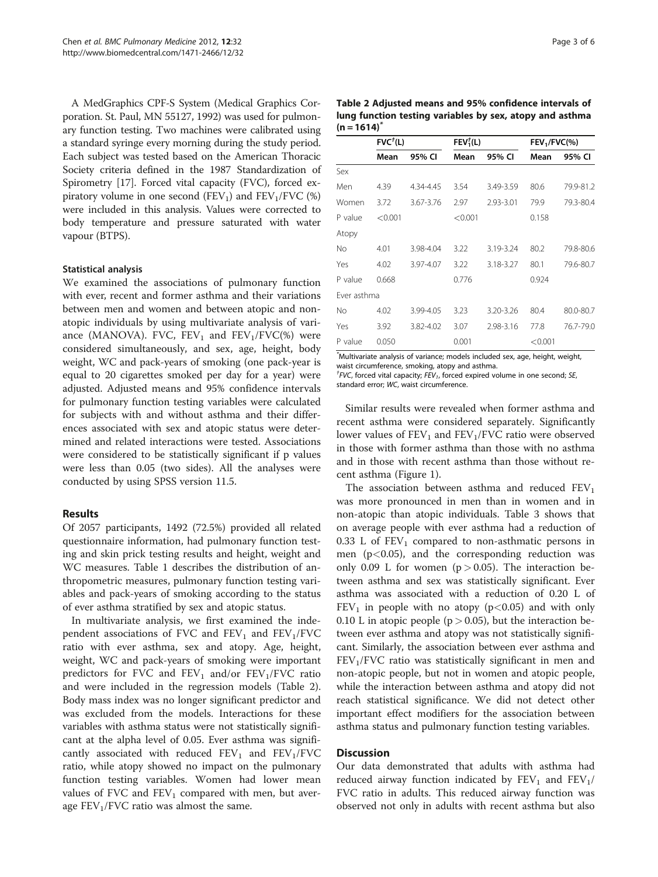A MedGraphics CPF-S System (Medical Graphics Corporation. St. Paul, MN 55127, 1992) was used for pulmonary function testing. Two machines were calibrated using a standard syringe every morning during the study period. Each subject was tested based on the American Thoracic Society criteria defined in the 1987 Standardization of Spirometry [[17](#page-5-0)]. Forced vital capacity (FVC), forced expiratory volume in one second (FEV<sub>1</sub>) and FEV<sub>1</sub>/FVC  $(\%)$ were included in this analysis. Values were corrected to body temperature and pressure saturated with water vapour (BTPS).

#### Statistical analysis

We examined the associations of pulmonary function with ever, recent and former asthma and their variations between men and women and between atopic and nonatopic individuals by using multivariate analysis of variance (MANOVA). FVC,  $FEV_1$  and  $FEV_1/FVC$ (%) were considered simultaneously, and sex, age, height, body weight, WC and pack-years of smoking (one pack-year is equal to 20 cigarettes smoked per day for a year) were adjusted. Adjusted means and 95% confidence intervals for pulmonary function testing variables were calculated for subjects with and without asthma and their differences associated with sex and atopic status were determined and related interactions were tested. Associations were considered to be statistically significant if p values were less than 0.05 (two sides). All the analyses were conducted by using SPSS version 11.5.

# Results

Of 2057 participants, 1492 (72.5%) provided all related questionnaire information, had pulmonary function testing and skin prick testing results and height, weight and WC measures. Table [1](#page-1-0) describes the distribution of anthropometric measures, pulmonary function testing variables and pack-years of smoking according to the status of ever asthma stratified by sex and atopic status.

In multivariate analysis, we first examined the independent associations of FVC and  $FEV<sub>1</sub>$  and  $FEV<sub>1</sub>/FVC$ ratio with ever asthma, sex and atopy. Age, height, weight, WC and pack-years of smoking were important predictors for FVC and  $FEV_1$  and/or  $FEV_1/FVC$  ratio and were included in the regression models (Table 2). Body mass index was no longer significant predictor and was excluded from the models. Interactions for these variables with asthma status were not statistically significant at the alpha level of 0.05. Ever asthma was significantly associated with reduced  $FEV_1$  and  $FEV_1/FVC$ ratio, while atopy showed no impact on the pulmonary function testing variables. Women had lower mean values of FVC and  $FEV_1$  compared with men, but average  $FEV<sub>1</sub>/FVC$  ratio was almost the same.

| Page 3 of 6 |  |  |  |
|-------------|--|--|--|
|-------------|--|--|--|

Table 2 Adjusted means and 95% confidence intervals of lung function testing variables by sex, atopy and asthma  $(n = 1614)^{n}$ 

|             | FVC <sup>†</sup> (L) |           | FEV <sub>1</sub> <sup>†</sup> (L) |           | $FEV1/FVC$ (%) |           |
|-------------|----------------------|-----------|-----------------------------------|-----------|----------------|-----------|
|             | Mean                 | 95% CI    | Mean                              | 95% CI    | Mean           | 95% CI    |
| Sex         |                      |           |                                   |           |                |           |
| Men         | 4.39                 | 4.34-4.45 | 3.54                              | 3.49-3.59 | 80.6           | 79.9-81.2 |
| Women       | 3.72                 | 3.67-3.76 | 2.97                              | 2.93-3.01 | 79.9           | 79.3-80.4 |
| P value     | < 0.001              |           | < 0.001                           |           | 0.158          |           |
| Atopy       |                      |           |                                   |           |                |           |
| No          | 4.01                 | 3.98-4.04 | 3.22                              | 3.19-3.24 | 80.2           | 79.8-80.6 |
| Yes         | 4.02                 | 3.97-4.07 | 3.22                              | 3.18-3.27 | 80.1           | 79.6-80.7 |
| P value     | 0.668                |           | 0.776                             |           | 0.924          |           |
| Ever asthma |                      |           |                                   |           |                |           |
| No          | 4.02                 | 3.99-4.05 | 3.23                              | 3.20-3.26 | 80.4           | 80.0-80.7 |
| Yes         | 3.92                 | 3.82-4.02 | 3.07                              | 2.98-3.16 | 77.8           | 76.7-79.0 |
| P value     | 0.050                |           | 0.001                             |           | < 0.001        |           |

\* Multivariate analysis of variance; models included sex, age, height, weight, waist circumference, smoking, atopy and asthma.

<sup>†</sup>FVC, forced vital capacity;  $\overline{F}V_1$ , forced expired volume in one second; SE, standard error; WC, waist circumference.

Similar results were revealed when former asthma and recent asthma were considered separately. Significantly lower values of  $FEV<sub>1</sub>$  and  $FEV<sub>1</sub>/FVC$  ratio were observed in those with former asthma than those with no asthma and in those with recent asthma than those without recent asthma (Figure [1](#page-3-0)).

The association between asthma and reduced  $FEV<sub>1</sub>$ was more pronounced in men than in women and in non-atopic than atopic individuals. Table [3](#page-3-0) shows that on average people with ever asthma had a reduction of 0.33 L of  $FEV<sub>1</sub>$  compared to non-asthmatic persons in men  $(p<0.05)$ , and the corresponding reduction was only 0.09 L for women ( $p > 0.05$ ). The interaction between asthma and sex was statistically significant. Ever asthma was associated with a reduction of 0.20 L of  $FEV<sub>1</sub>$  in people with no atopy (p<0.05) and with only 0.10 L in atopic people ( $p > 0.05$ ), but the interaction between ever asthma and atopy was not statistically significant. Similarly, the association between ever asthma and  $FEV<sub>1</sub>/FVC$  ratio was statistically significant in men and non-atopic people, but not in women and atopic people, while the interaction between asthma and atopy did not reach statistical significance. We did not detect other important effect modifiers for the association between asthma status and pulmonary function testing variables.

# **Discussion**

Our data demonstrated that adults with asthma had reduced airway function indicated by  $FEV_1$  and  $FEV_1$ FVC ratio in adults. This reduced airway function was observed not only in adults with recent asthma but also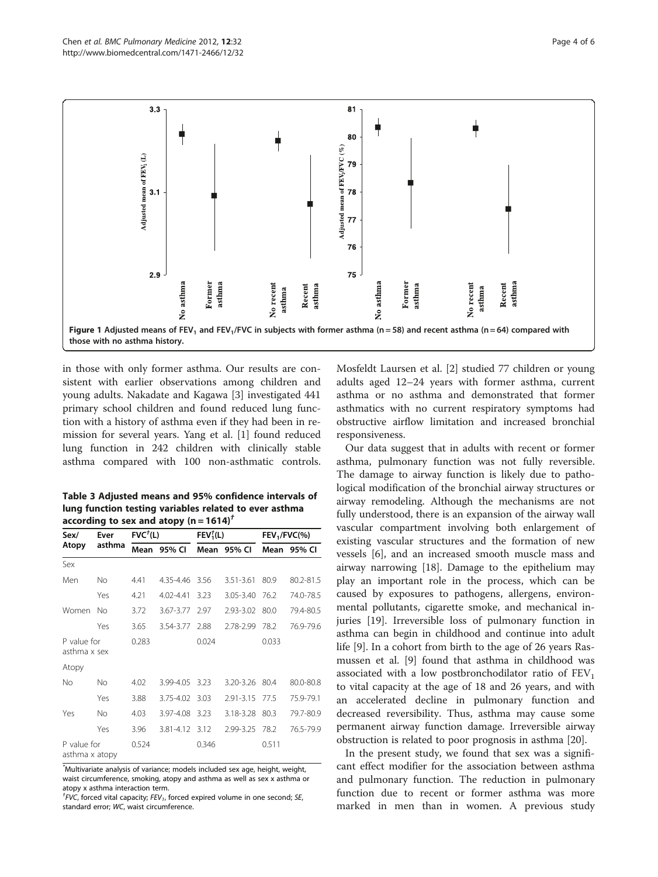<span id="page-3-0"></span>

in those with only former asthma. Our results are consistent with earlier observations among children and young adults. Nakadate and Kagawa [[3\]](#page-4-0) investigated 441 primary school children and found reduced lung function with a history of asthma even if they had been in remission for several years. Yang et al. [[1\]](#page-4-0) found reduced lung function in 242 children with clinically stable asthma compared with 100 non-asthmatic controls.

| Table 3 Adiusted means and 95% confidence intervals of |
|--------------------------------------------------------|
| lung function testing variables related to ever asthma |
| according to sex and atopy (n = $1614$ ) <sup>t</sup>  |

| Sex/                          | Ever<br>asthma | $FVC+(L)$ |                | FEV <sub>1</sub> <sup>†</sup> (L) |               | $FEV1/FVC$ (%) |           |  |
|-------------------------------|----------------|-----------|----------------|-----------------------------------|---------------|----------------|-----------|--|
| Atopy                         |                | Mean      | 95% CI         | Mean                              | 95% CI        | Mean           | 95% CI    |  |
| Sex                           |                |           |                |                                   |               |                |           |  |
| Men                           | No             | 4.41      | 4.35-4.46 3.56 |                                   | $3.51 - 3.61$ | 80.9           | 80.2-81.5 |  |
|                               | Yes            | 4.21      | 4.02-4.41      | 3.23                              | 3.05-3.40     | 76.2           | 74.0-78.5 |  |
| Women                         | No             | 3.72      | 3.67-3.77 2.97 |                                   | 2.93-3.02     | 80.0           | 79.4-80.5 |  |
|                               | Yes            | 3.65      | 3.54-3.77      | 2.88                              | 2.78-2.99     | 78.2           | 76.9-79.6 |  |
| P value for<br>asthma x sex   |                | 0.283     |                | 0.024                             |               | 0.033          |           |  |
| Atopy                         |                |           |                |                                   |               |                |           |  |
| No                            | No             | 4.02      | 3.99-4.05 3.23 |                                   | 3.20-3.26     | 80.4           | 80.0-80.8 |  |
|                               | Yes            | 3.88      | 3.75-4.02 3.03 |                                   | 2.91-3.15     | 77.5           | 75.9-79.1 |  |
| Yes                           | No.            | 4.03      | 3.97-4.08      | 3.23                              | 3.18-3.28     | 80.3           | 79.7-80.9 |  |
|                               | Yes            | 3.96      | 3.81-4.12 3.12 |                                   | 2.99-3.25     | 78.2           | 76.5-79.9 |  |
| P value for<br>asthma x atopy |                | 0.524     |                | 0.346                             |               | 0.511          |           |  |

\* Multivariate analysis of variance; models included sex age, height, weight, waist circumference, smoking, atopy and asthma as well as sex x asthma or atopy x asthma interaction term.

 $^{\dagger}$ FVC, forced vital capacity; FEV<sub>1</sub>, forced expired volume in one second; SE, standard error; WC, waist circumference.

Mosfeldt Laursen et al. [[2\]](#page-4-0) studied 77 children or young adults aged 12–24 years with former asthma, current asthma or no asthma and demonstrated that former asthmatics with no current respiratory symptoms had obstructive airflow limitation and increased bronchial responsiveness.

Our data suggest that in adults with recent or former asthma, pulmonary function was not fully reversible. The damage to airway function is likely due to pathological modification of the bronchial airway structures or airway remodeling. Although the mechanisms are not fully understood, there is an expansion of the airway wall vascular compartment involving both enlargement of existing vascular structures and the formation of new vessels [[6](#page-4-0)], and an increased smooth muscle mass and airway narrowing [\[18](#page-5-0)]. Damage to the epithelium may play an important role in the process, which can be caused by exposures to pathogens, allergens, environmental pollutants, cigarette smoke, and mechanical injuries [\[19](#page-5-0)]. Irreversible loss of pulmonary function in asthma can begin in childhood and continue into adult life [\[9](#page-5-0)]. In a cohort from birth to the age of 26 years Rasmussen et al. [\[9](#page-5-0)] found that asthma in childhood was associated with a low postbronchodilator ratio of  $FEV<sub>1</sub>$ to vital capacity at the age of 18 and 26 years, and with an accelerated decline in pulmonary function and decreased reversibility. Thus, asthma may cause some permanent airway function damage. Irreversible airway obstruction is related to poor prognosis in asthma [[20](#page-5-0)].

In the present study, we found that sex was a significant effect modifier for the association between asthma and pulmonary function. The reduction in pulmonary function due to recent or former asthma was more marked in men than in women. A previous study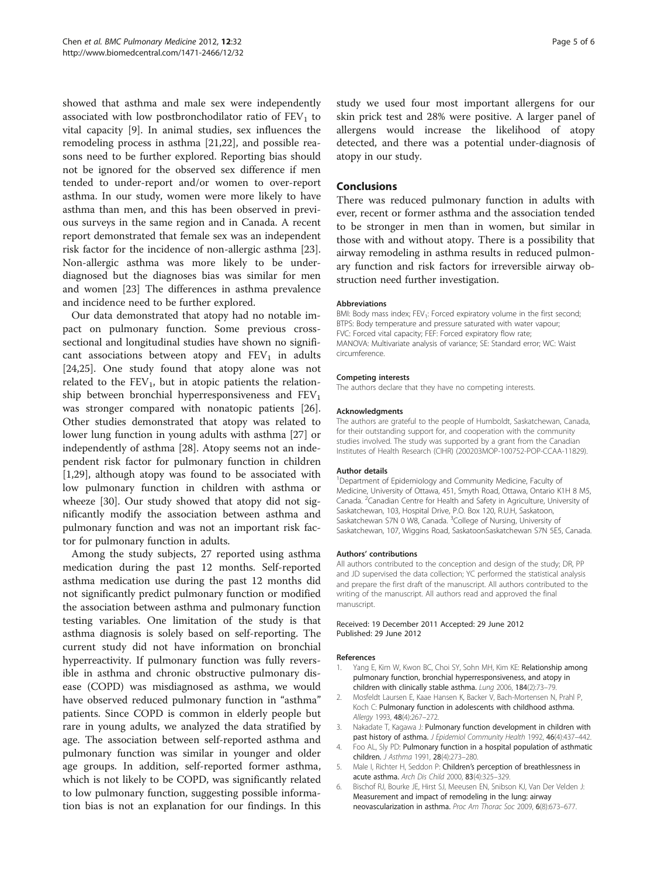<span id="page-4-0"></span>showed that asthma and male sex were independently associated with low postbronchodilator ratio of  $FEV<sub>1</sub>$  to vital capacity [\[9\]](#page-5-0). In animal studies, sex influences the remodeling process in asthma [[21](#page-5-0),[22](#page-5-0)], and possible reasons need to be further explored. Reporting bias should not be ignored for the observed sex difference if men tended to under-report and/or women to over-report asthma. In our study, women were more likely to have asthma than men, and this has been observed in previous surveys in the same region and in Canada. A recent report demonstrated that female sex was an independent risk factor for the incidence of non-allergic asthma [\[23](#page-5-0)]. Non-allergic asthma was more likely to be underdiagnosed but the diagnoses bias was similar for men and women [[23\]](#page-5-0) The differences in asthma prevalence and incidence need to be further explored.

Our data demonstrated that atopy had no notable impact on pulmonary function. Some previous crosssectional and longitudinal studies have shown no significant associations between atopy and  $FEV<sub>1</sub>$  in adults [[24,25\]](#page-5-0). One study found that atopy alone was not related to the  $FEV_1$ , but in atopic patients the relationship between bronchial hyperresponsiveness and  $FEV<sub>1</sub>$ was stronger compared with nonatopic patients [\[26](#page-5-0)]. Other studies demonstrated that atopy was related to lower lung function in young adults with asthma [\[27](#page-5-0)] or independently of asthma [[28\]](#page-5-0). Atopy seems not an independent risk factor for pulmonary function in children [1,[29\]](#page-5-0), although atopy was found to be associated with low pulmonary function in children with asthma or wheeze [[30](#page-5-0)]. Our study showed that atopy did not significantly modify the association between asthma and pulmonary function and was not an important risk factor for pulmonary function in adults.

Among the study subjects, 27 reported using asthma medication during the past 12 months. Self-reported asthma medication use during the past 12 months did not significantly predict pulmonary function or modified the association between asthma and pulmonary function testing variables. One limitation of the study is that asthma diagnosis is solely based on self-reporting. The current study did not have information on bronchial hyperreactivity. If pulmonary function was fully reversible in asthma and chronic obstructive pulmonary disease (COPD) was misdiagnosed as asthma, we would have observed reduced pulmonary function in "asthma" patients. Since COPD is common in elderly people but rare in young adults, we analyzed the data stratified by age. The association between self-reported asthma and pulmonary function was similar in younger and older age groups. In addition, self-reported former asthma, which is not likely to be COPD, was significantly related to low pulmonary function, suggesting possible information bias is not an explanation for our findings. In this study we used four most important allergens for our skin prick test and 28% were positive. A larger panel of allergens would increase the likelihood of atopy detected, and there was a potential under-diagnosis of atopy in our study.

## Conclusions

There was reduced pulmonary function in adults with ever, recent or former asthma and the association tended to be stronger in men than in women, but similar in those with and without atopy. There is a possibility that airway remodeling in asthma results in reduced pulmonary function and risk factors for irreversible airway obstruction need further investigation.

#### Abbreviations

BMI: Body mass index; FEV<sub>1</sub>: Forced expiratory volume in the first second; BTPS: Body temperature and pressure saturated with water vapour; FVC: Forced vital capacity; FEF: Forced expiratory flow rate; MANOVA: Multivariate analysis of variance; SE: Standard error; WC: Waist circumference.

#### Competing interests

The authors declare that they have no competing interests.

#### Acknowledgments

The authors are grateful to the people of Humboldt, Saskatchewan, Canada, for their outstanding support for, and cooperation with the community studies involved. The study was supported by a grant from the Canadian Institutes of Health Research (CIHR) (200203MOP-100752-POP-CCAA-11829).

#### Author details

<sup>1</sup>Department of Epidemiology and Community Medicine, Faculty of Medicine, University of Ottawa, 451, Smyth Road, Ottawa, Ontario K1H 8 M5, Canada. <sup>2</sup> Canadian Centre for Health and Safety in Agriculture, University of Saskatchewan, 103, Hospital Drive, P.O. Box 120, R.U.H, Saskatoon, Saskatchewan S7N 0 W8, Canada. <sup>3</sup>College of Nursing, University of Saskatchewan, 107, Wiggins Road, SaskatoonSaskatchewan S7N 5E5, Canada.

#### Authors' contributions

All authors contributed to the conception and design of the study; DR, PP and JD supervised the data collection; YC performed the statistical analysis and prepare the first draft of the manuscript. All authors contributed to the writing of the manuscript. All authors read and approved the final manuscript.

#### Received: 19 December 2011 Accepted: 29 June 2012 Published: 29 June 2012

#### References

- 1. Yang E, Kim W, Kwon BC, Choi SY, Sohn MH, Kim KE: Relationship among pulmonary function, bronchial hyperresponsiveness, and atopy in children with clinically stable asthma. Lung 2006, 184(2):73–79.
- 2. Mosfeldt Laursen E, Kaae Hansen K, Backer V, Bach-Mortensen N, Prahl P, Koch C: Pulmonary function in adolescents with childhood asthma. Allergy 1993, 48(4):267–272.
- Nakadate T, Kagawa J: Pulmonary function development in children with past history of asthma. J Epidemiol Community Health 1992, 46(4):437-442.
- 4. Foo AL, Sly PD: Pulmonary function in a hospital population of asthmatic children. J Asthma 1991, 28(4):273–280.
- 5. Male I, Richter H, Seddon P: Children's perception of breathlessness in acute asthma. Arch Dis Child 2000, 83(4):325–329.
- 6. Bischof RJ, Bourke JE, Hirst SJ, Meeusen EN, Snibson KJ, Van Der Velden J: Measurement and impact of remodeling in the lung: airway neovascularization in asthma. Proc Am Thorac Soc 2009, 6(8):673–677.